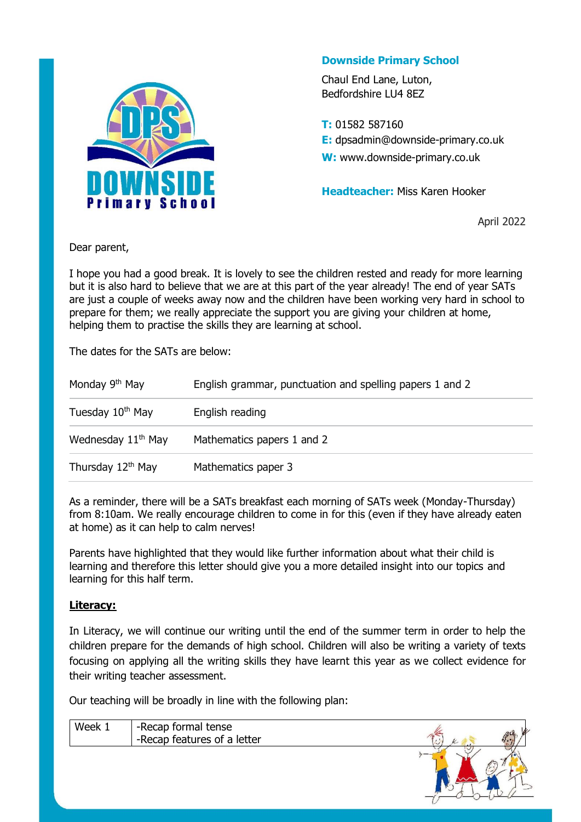

### **Downside Primary School**

Chaul End Lane, Luton, Bedfordshire LU4 8EZ

**T:** 01582 587160 **E:** dpsadmin@downside-primary.co.uk **W:** www.downside-primary.co.uk

**Headteacher:** Miss Karen Hooker

April 2022

Dear parent,

I hope you had a good break. It is lovely to see the children rested and ready for more learning but it is also hard to believe that we are at this part of the year already! The end of year SATs are just a couple of weeks away now and the children have been working very hard in school to prepare for them; we really appreciate the support you are giving your children at home, helping them to practise the skills they are learning at school.

The dates for the SATs are below:

| Monday 9 <sup>th</sup> May    | English grammar, punctuation and spelling papers 1 and 2 |
|-------------------------------|----------------------------------------------------------|
| Tuesday 10 <sup>th</sup> May  | English reading                                          |
| Wednesday $11th$ May          | Mathematics papers 1 and 2                               |
| Thursday 12 <sup>th</sup> May | Mathematics paper 3                                      |

As a reminder, there will be a SATs breakfast each morning of SATs week (Monday-Thursday) from 8:10am. We really encourage children to come in for this (even if they have already eaten at home) as it can help to calm nerves!

Parents have highlighted that they would like further information about what their child is learning and therefore this letter should give you a more detailed insight into our topics and learning for this half term.

### **Literacy:**

In Literacy, we will continue our writing until the end of the summer term in order to help the children prepare for the demands of high school. Children will also be writing a variety of texts focusing on applying all the writing skills they have learnt this year as we collect evidence for their writing teacher assessment.

Our teaching will be broadly in line with the following plan:

| Week | -Recap formal tense<br>-Recap features of a letter | فتنعا | $\mathscr{B}^{\mathcal{Q}}$ |
|------|----------------------------------------------------|-------|-----------------------------|
|      |                                                    |       |                             |

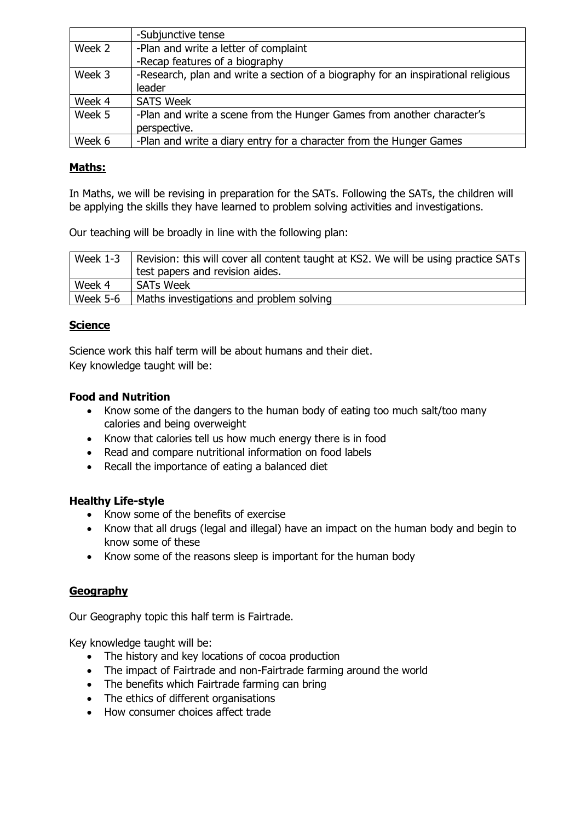|        | -Subjunctive tense                                                                |
|--------|-----------------------------------------------------------------------------------|
| Week 2 | -Plan and write a letter of complaint                                             |
|        | -Recap features of a biography                                                    |
| Week 3 | -Research, plan and write a section of a biography for an inspirational religious |
|        | leader                                                                            |
| Week 4 | <b>SATS Week</b>                                                                  |
| Week 5 | -Plan and write a scene from the Hunger Games from another character's            |
|        | perspective.                                                                      |
| Week 6 | -Plan and write a diary entry for a character from the Hunger Games               |

### **Maths:**

In Maths, we will be revising in preparation for the SATs. Following the SATs, the children will be applying the skills they have learned to problem solving activities and investigations.

Our teaching will be broadly in line with the following plan:

| Week $1-3$      | Revision: this will cover all content taught at KS2. We will be using practice SATs |  |
|-----------------|-------------------------------------------------------------------------------------|--|
|                 | test papers and revision aides.                                                     |  |
| Week 4          | <b>SATs Week</b>                                                                    |  |
| <b>Week 5-6</b> | Maths investigations and problem solving                                            |  |

#### **Science**

Science work this half term will be about humans and their diet. Key knowledge taught will be:

#### **Food and Nutrition**

- Know some of the dangers to the human body of eating too much salt/too many calories and being overweight
- Know that calories tell us how much energy there is in food
- Read and compare nutritional information on food labels
- Recall the importance of eating a balanced diet

#### **Healthy Life-style**

- Know some of the benefits of exercise
- Know that all drugs (legal and illegal) have an impact on the human body and begin to know some of these
- Know some of the reasons sleep is important for the human body

### **Geography**

Our Geography topic this half term is Fairtrade.

Key knowledge taught will be:

- The history and key locations of cocoa production
- The impact of Fairtrade and non-Fairtrade farming around the world
- The benefits which Fairtrade farming can bring
- The ethics of different organisations
- How consumer choices affect trade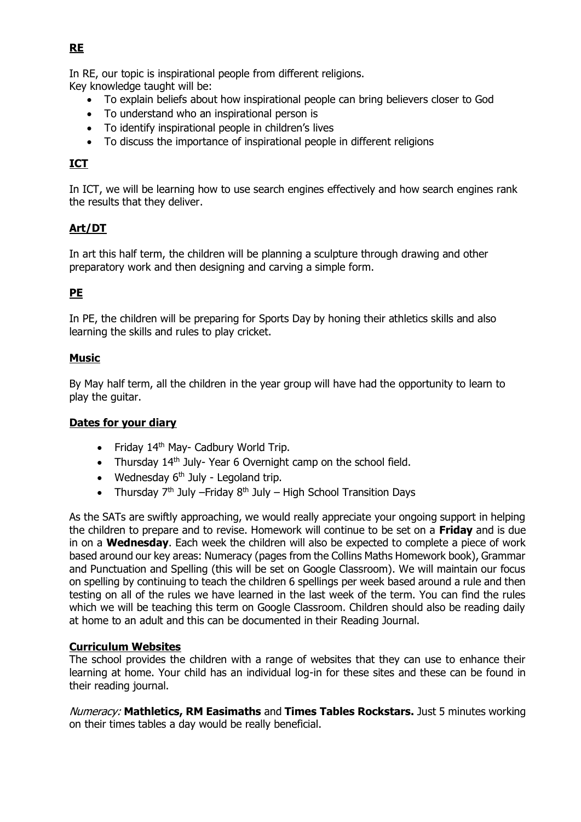In RE, our topic is inspirational people from different religions.

Key knowledge taught will be:

- To explain beliefs about how inspirational people can bring believers closer to God
- To understand who an inspirational person is
- To identify inspirational people in children's lives
- To discuss the importance of inspirational people in different religions

# **ICT**

In ICT, we will be learning how to use search engines effectively and how search engines rank the results that they deliver.

# **Art/DT**

In art this half term, the children will be planning a sculpture through drawing and other preparatory work and then designing and carving a simple form.

# **PE**

In PE, the children will be preparing for Sports Day by honing their athletics skills and also learning the skills and rules to play cricket.

## **Music**

By May half term, all the children in the year group will have had the opportunity to learn to play the guitar.

### **Dates for your diary**

- Friday  $14<sup>th</sup>$  May- Cadbury World Trip.
- Thursday  $14<sup>th</sup>$  July-Year 6 Overnight camp on the school field.
- Wednesday  $6<sup>th</sup>$  July Legoland trip.
- Thursday  $7<sup>th</sup>$  July –Friday  $8<sup>th</sup>$  July High School Transition Days

As the SATs are swiftly approaching, we would really appreciate your ongoing support in helping the children to prepare and to revise. Homework will continue to be set on a **Friday** and is due in on a **Wednesday**. Each week the children will also be expected to complete a piece of work based around our key areas: Numeracy (pages from the Collins Maths Homework book), Grammar and Punctuation and Spelling (this will be set on Google Classroom). We will maintain our focus on spelling by continuing to teach the children 6 spellings per week based around a rule and then testing on all of the rules we have learned in the last week of the term. You can find the rules which we will be teaching this term on Google Classroom. Children should also be reading daily at home to an adult and this can be documented in their Reading Journal.

### **Curriculum Websites**

The school provides the children with a range of websites that they can use to enhance their learning at home. Your child has an individual log-in for these sites and these can be found in their reading journal.

Numeracy: **Mathletics, RM Easimaths** and **Times Tables Rockstars.** Just 5 minutes working on their times tables a day would be really beneficial.

### **RE**